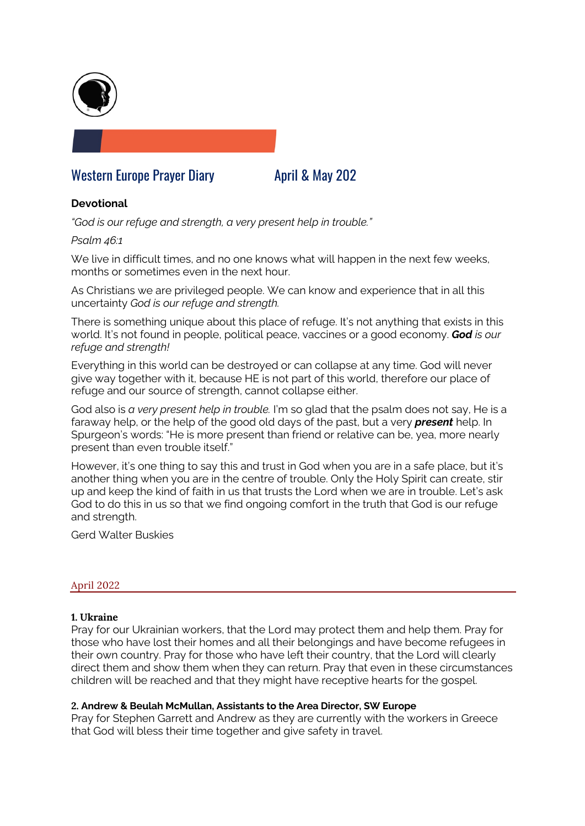

# Western Europe Prayer Diary **April & May 202**

# **Devotional**

*"God is our refuge and strength, a very present help in trouble."* 

# *Psalm 46:1*

We live in difficult times, and no one knows what will happen in the next few weeks, months or sometimes even in the next hour.

As Christians we are privileged people. We can know and experience that in all this uncertainty *God is our refuge and strength.*

There is something unique about this place of refuge. It's not anything that exists in this world. It's not found in people, political peace, vaccines or a good economy. *God is our refuge and strength!*

Everything in this world can be destroyed or can collapse at any time. God will never give way together with it, because HE is not part of this world, therefore our place of refuge and our source of strength, cannot collapse either.

God also is *a very present help in trouble.* I'm so glad that the psalm does not say, He is a faraway help, or the help of the good old days of the past, but a very *present* help. In Spurgeon's words: "He is more present than friend or relative can be, yea, more nearly present than even trouble itself."

However, it's one thing to say this and trust in God when you are in a safe place, but it's another thing when you are in the centre of trouble. Only the Holy Spirit can create, stir up and keep the kind of faith in us that trusts the Lord when we are in trouble. Let's ask God to do this in us so that we find ongoing comfort in the truth that God is our refuge and strength.

Gerd Walter Buskies

#### April 2022

# **1. Ukraine**

Pray for our Ukrainian workers, that the Lord may protect them and help them. Pray for those who have lost their homes and all their belongings and have become refugees in their own country. Pray for those who have left their country, that the Lord will clearly direct them and show them when they can return. Pray that even in these circumstances children will be reached and that they might have receptive hearts for the gospel.

#### **2. Andrew & Beulah McMullan, Assistants to the Area Director, SW Europe**

Pray for Stephen Garrett and Andrew as they are currently with the workers in Greece that God will bless their time together and give safety in travel.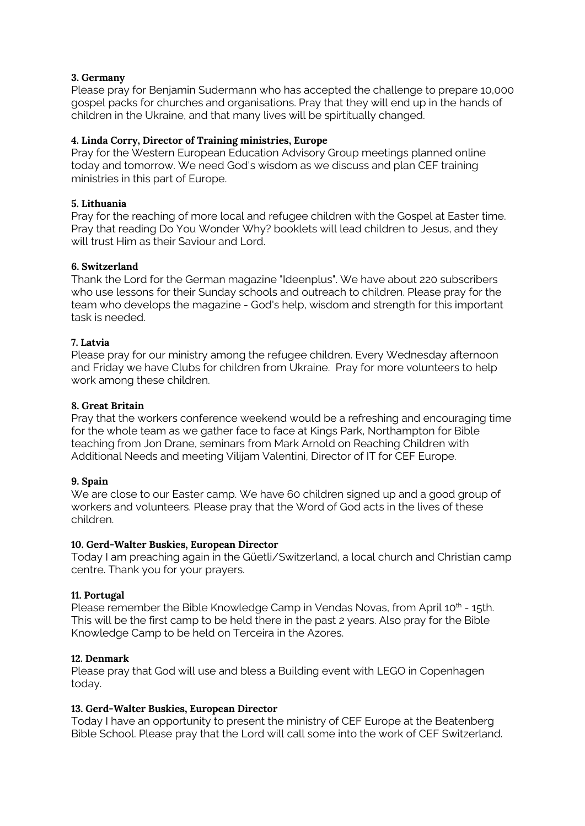# **3. Germany**

Please pray for Benjamin Sudermann who has accepted the challenge to prepare 10,000 gospel packs for churches and organisations. Pray that they will end up in the hands of children in the Ukraine, and that many lives will be spirtitually changed.

# **4. Linda Corry, Director of Training ministries, Europe**

Pray for the Western European Education Advisory Group meetings planned online today and tomorrow. We need God's wisdom as we discuss and plan CEF training ministries in this part of Europe.

# **5. Lithuania**

Pray for the reaching of more local and refugee children with the Gospel at Easter time. Pray that reading Do You Wonder Why? booklets will lead children to Jesus, and they will trust Him as their Saviour and Lord.

# **6. Switzerland**

Thank the Lord for the German magazine "Ideenplus". We have about 220 subscribers who use lessons for their Sunday schools and outreach to children. Please pray for the team who develops the magazine - God's help, wisdom and strength for this important task is needed.

# **7. Latvia**

Please pray for our ministry among the refugee children. Every Wednesday afternoon and Friday we have Clubs for children from Ukraine. Pray for more volunteers to help work among these children.

# **8. Great Britain**

Pray that the workers conference weekend would be a refreshing and encouraging time for the whole team as we gather face to face at Kings Park, Northampton for Bible teaching from Jon Drane, seminars from Mark Arnold on Reaching Children with Additional Needs and meeting Vilijam Valentini, Director of IT for CEF Europe.

#### **9. Spain**

We are close to our Easter camp. We have 60 children signed up and a good group of workers and volunteers. Please pray that the Word of God acts in the lives of these children.

#### **10. Gerd-Walter Buskies, European Director**

Today I am preaching again in the Güetli/Switzerland, a local church and Christian camp centre. Thank you for your prayers.

#### **11. Portugal**

Please remember the Bible Knowledge Camp in Vendas Novas, from April 10<sup>th</sup> - 15th. This will be the first camp to be held there in the past 2 years. Also pray for the Bible Knowledge Camp to be held on Terceira in the Azores.

#### **12. Denmark**

Please pray that God will use and bless a Building event with LEGO in Copenhagen today.

#### **13. Gerd-Walter Buskies, European Director**

Today I have an opportunity to present the ministry of CEF Europe at the Beatenberg Bible School. Please pray that the Lord will call some into the work of CEF Switzerland.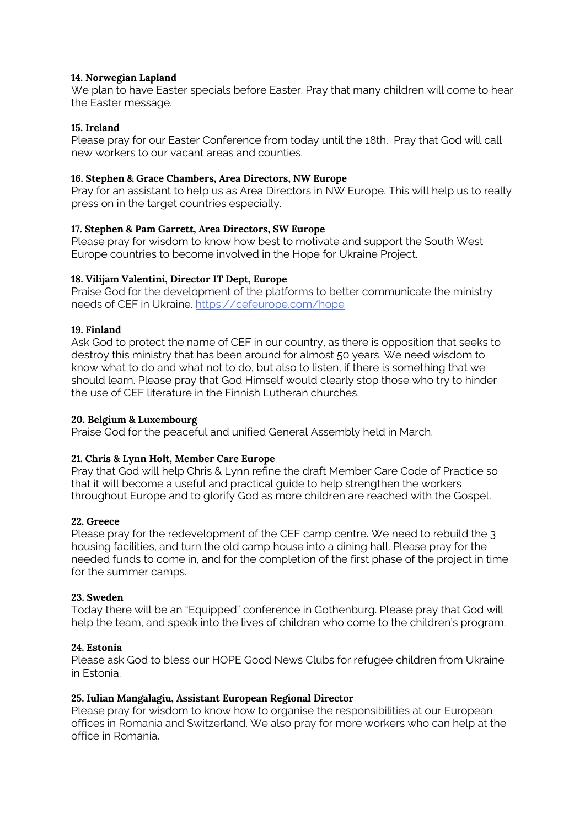# **14. Norwegian Lapland**

We plan to have Easter specials before Easter. Pray that many children will come to hear the Easter message.

# **15. Ireland**

Please pray for our Easter Conference from today until the 18th. Pray that God will call new workers to our vacant areas and counties.

# **16. Stephen & Grace Chambers, Area Directors, NW Europe**

Pray for an assistant to help us as Area Directors in NW Europe. This will help us to really press on in the target countries especially.

# **17. Stephen & Pam Garrett, Area Directors, SW Europe**

Please pray for wisdom to know how best to motivate and support the South West Europe countries to become involved in the Hope for Ukraine Project.

# **18. Vilijam Valentini, Director IT Dept, Europe**

Praise God for the development of the platforms to better communicate the ministry needs of CEF in Ukraine. https://cefeurope.com/hope

# **19. Finland**

Ask God to protect the name of CEF in our country, as there is opposition that seeks to destroy this ministry that has been around for almost 50 years. We need wisdom to know what to do and what not to do, but also to listen, if there is something that we should learn. Please pray that God Himself would clearly stop those who try to hinder the use of CEF literature in the Finnish Lutheran churches.

### **20. Belgium & Luxembourg**

Praise God for the peaceful and unified General Assembly held in March.

# **21. Chris & Lynn Holt, Member Care Europe**

Pray that God will help Chris & Lynn refine the draft Member Care Code of Practice so that it will become a useful and practical guide to help strengthen the workers throughout Europe and to glorify God as more children are reached with the Gospel.

#### **22. Greece**

Please pray for the redevelopment of the CEF camp centre. We need to rebuild the 3 housing facilities, and turn the old camp house into a dining hall. Please pray for the needed funds to come in, and for the completion of the first phase of the project in time for the summer camps.

#### **23. Sweden**

Today there will be an "Equipped" conference in Gothenburg. Please pray that God will help the team, and speak into the lives of children who come to the children's program.

#### **24. Estonia**

Please ask God to bless our HOPE Good News Clubs for refugee children from Ukraine in Estonia.

#### **25. Iulian Mangalagiu, Assistant European Regional Director**

Please pray for wisdom to know how to organise the responsibilities at our European offices in Romania and Switzerland. We also pray for more workers who can help at the office in Romania.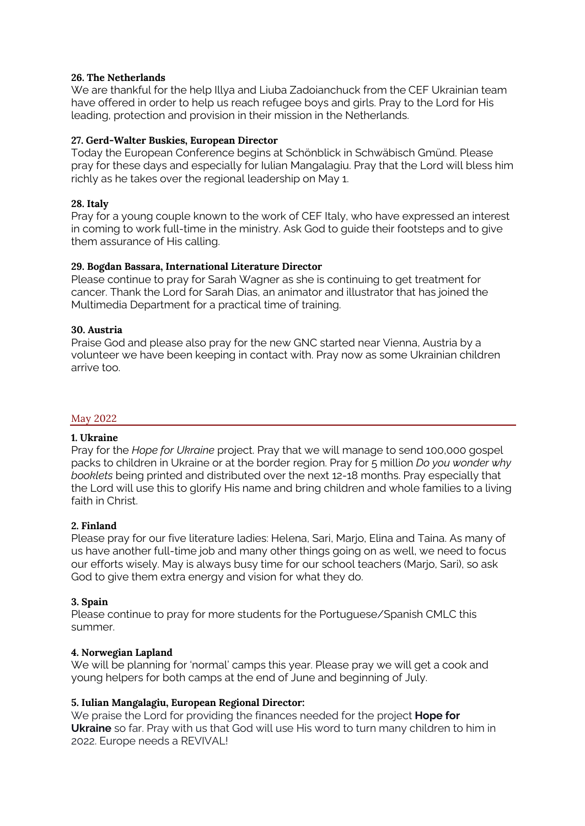### **26. The Netherlands**

We are thankful for the help Illya and Liuba Zadoianchuck from the CEF Ukrainian team have offered in order to help us reach refugee boys and girls. Pray to the Lord for His leading, protection and provision in their mission in the Netherlands.

# **27. Gerd-Walter Buskies, European Director**

Today the European Conference begins at Schönblick in Schwäbisch Gmünd. Please pray for these days and especially for Iulian Mangalagiu. Pray that the Lord will bless him richly as he takes over the regional leadership on May 1.

# **28. Italy**

Pray for a young couple known to the work of CEF Italy, who have expressed an interest in coming to work full-time in the ministry. Ask God to guide their footsteps and to give them assurance of His calling.

# **29. Bogdan Bassara, International Literature Director**

Please continue to pray for Sarah Wagner as she is continuing to get treatment for cancer. Thank the Lord for Sarah Dias, an animator and illustrator that has joined the Multimedia Department for a practical time of training.

# **30. Austria**

Praise God and please also pray for the new GNC started near Vienna, Austria by a volunteer we have been keeping in contact with. Pray now as some Ukrainian children arrive too.

### May 2022

#### **1. Ukraine**

Pray for the *Hope for Ukraine* project. Pray that we will manage to send 100,000 gospel packs to children in Ukraine or at the border region. Pray for 5 million *Do you wonder why booklets* being printed and distributed over the next 12-18 months. Pray especially that the Lord will use this to glorify His name and bring children and whole families to a living faith in Christ.

#### **2. Finland**

Please pray for our five literature ladies: Helena, Sari, Marjo, Elina and Taina. As many of us have another full-time job and many other things going on as well, we need to focus our efforts wisely. May is always busy time for our school teachers (Marjo, Sari), so ask God to give them extra energy and vision for what they do.

#### **3. Spain**

Please continue to pray for more students for the Portuguese/Spanish CMLC this summer.

#### **4. Norwegian Lapland**

We will be planning for 'normal' camps this year. Please pray we will get a cook and young helpers for both camps at the end of June and beginning of July.

# **5. Iulian Mangalagiu, European Regional Director:**

We praise the Lord for providing the finances needed for the project **Hope for Ukraine** so far. Pray with us that God will use His word to turn many children to him in 2022. Europe needs a REVIVAL!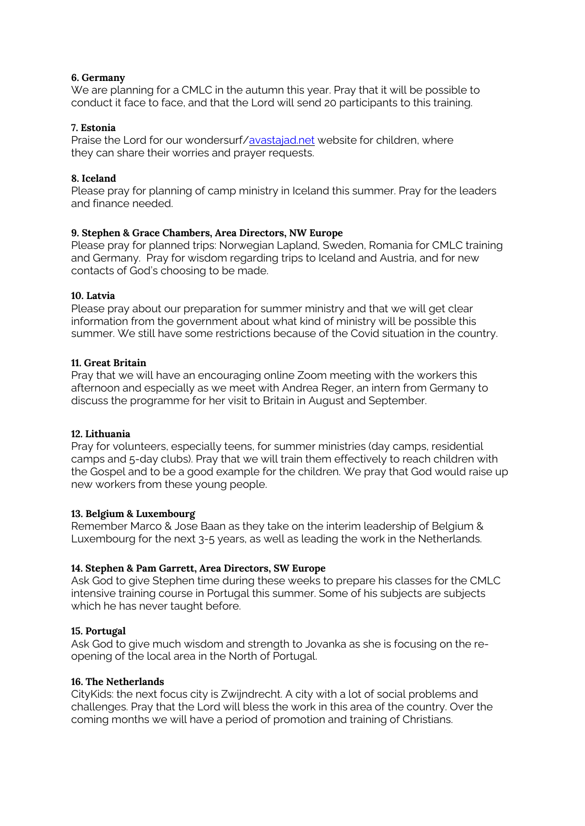# **6. Germany**

We are planning for a CMLC in the autumn this year. Pray that it will be possible to conduct it face to face, and that the Lord will send 20 participants to this training.

# **7. Estonia**

Praise the Lord for our wondersurf/avastajad.net website for children, where they can share their worries and prayer requests.

# **8. Iceland**

Please pray for planning of camp ministry in Iceland this summer. Pray for the leaders and finance needed.

# **9. Stephen & Grace Chambers, Area Directors, NW Europe**

Please pray for planned trips: Norwegian Lapland, Sweden, Romania for CMLC training and Germany. Pray for wisdom regarding trips to Iceland and Austria, and for new contacts of God's choosing to be made.

# **10. Latvia**

Please pray about our preparation for summer ministry and that we will get clear information from the government about what kind of ministry will be possible this summer. We still have some restrictions because of the Covid situation in the country.

# **11. Great Britain**

Pray that we will have an encouraging online Zoom meeting with the workers this afternoon and especially as we meet with Andrea Reger, an intern from Germany to discuss the programme for her visit to Britain in August and September.

#### **12. Lithuania**

Pray for volunteers, especially teens, for summer ministries (day camps, residential camps and 5-day clubs). Pray that we will train them effectively to reach children with the Gospel and to be a good example for the children. We pray that God would raise up new workers from these young people.

#### **13. Belgium & Luxembourg**

Remember Marco & Jose Baan as they take on the interim leadership of Belgium & Luxembourg for the next 3-5 years, as well as leading the work in the Netherlands.

# **14. Stephen & Pam Garrett, Area Directors, SW Europe**

Ask God to give Stephen time during these weeks to prepare his classes for the CMLC intensive training course in Portugal this summer. Some of his subjects are subjects which he has never taught before.

#### **15. Portugal**

Ask God to give much wisdom and strength to Jovanka as she is focusing on the reopening of the local area in the North of Portugal.

#### **16. The Netherlands**

CityKids: the next focus city is Zwijndrecht. A city with a lot of social problems and challenges. Pray that the Lord will bless the work in this area of the country. Over the coming months we will have a period of promotion and training of Christians.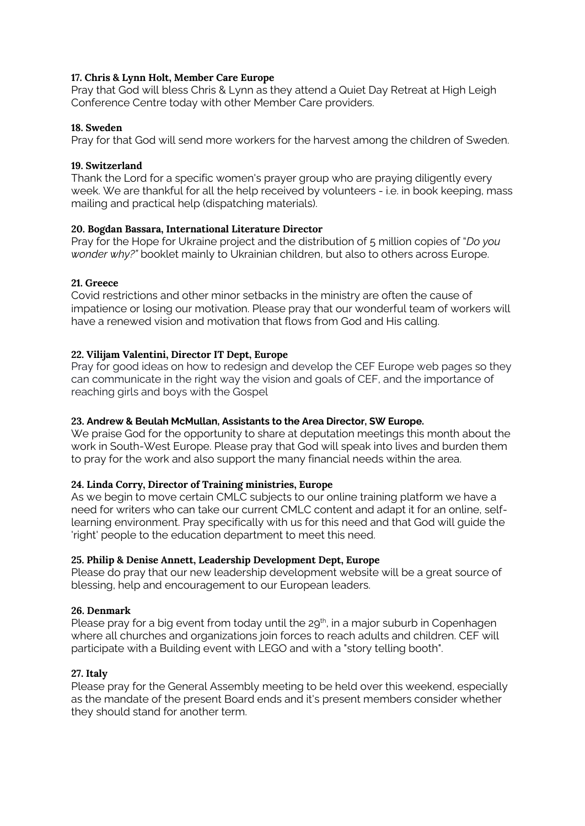# **17. Chris & Lynn Holt, Member Care Europe**

Pray that God will bless Chris & Lynn as they attend a Quiet Day Retreat at High Leigh Conference Centre today with other Member Care providers.

# **18. Sweden**

Pray for that God will send more workers for the harvest among the children of Sweden.

# **19. Switzerland**

Thank the Lord for a specific women's prayer group who are praying diligently every week. We are thankful for all the help received by volunteers - i.e. in book keeping, mass mailing and practical help (dispatching materials).

# **20. Bogdan Bassara, International Literature Director**

Pray for the Hope for Ukraine project and the distribution of 5 million copies of "*Do you wonder why?"* booklet mainly to Ukrainian children, but also to others across Europe.

# **21. Greece**

Covid restrictions and other minor setbacks in the ministry are often the cause of impatience or losing our motivation. Please pray that our wonderful team of workers will have a renewed vision and motivation that flows from God and His calling.

# **22. Vilijam Valentini, Director IT Dept, Europe**

Pray for good ideas on how to redesign and develop the CEF Europe web pages so they can communicate in the right way the vision and goals of CEF, and the importance of reaching girls and boys with the Gospel

# **23. Andrew & Beulah McMullan, Assistants to the Area Director, SW Europe.**

We praise God for the opportunity to share at deputation meetings this month about the work in South-West Europe. Please pray that God will speak into lives and burden them to pray for the work and also support the many financial needs within the area.

# **24. Linda Corry, Director of Training ministries, Europe**

As we begin to move certain CMLC subjects to our online training platform we have a need for writers who can take our current CMLC content and adapt it for an online, selflearning environment. Pray specifically with us for this need and that God will guide the 'right' people to the education department to meet this need.

# **25. Philip & Denise Annett, Leadership Development Dept, Europe**

Please do pray that our new leadership development website will be a great source of blessing, help and encouragement to our European leaders.

# **26. Denmark**

Please pray for a big event from today until the  $29<sup>th</sup>$ , in a major suburb in Copenhagen where all churches and organizations join forces to reach adults and children. CEF will participate with a Building event with LEGO and with a "story telling booth".

# **27. Italy**

Please pray for the General Assembly meeting to be held over this weekend, especially as the mandate of the present Board ends and it's present members consider whether they should stand for another term.